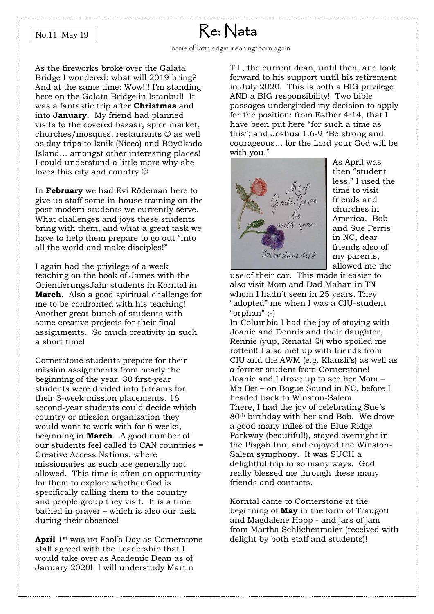#### No.11 May 19

## Re: Nata

As the fireworks broke over the Galata Bridge I wondered: what will 2019 bring? And at the same time: Wow!!! I'm standing here on the Galata Bridge in Istanbul! It was a fantastic trip after **Christmas** and into **January**. My friend had planned visits to the covered bazaar, spice market, churches/mosques, restaurants  $\odot$  as well as day trips to Iznik (Nicea) and Büyükada Island… amongst other interesting places! I could understand a little more why she loves this city and country  $\odot$ 

In **February** we had Evi Rödeman here to give us staff some in-house training on the post-modern students we currently serve. What challenges and joys these students bring with them, and what a great task we have to help them prepare to go out "into all the world and make disciples!"

I again had the privilege of a week teaching on the book of James with the OrientierungsJahr students in Korntal in **March**. Also a good spiritual challenge for me to be confronted with his teaching! Another great bunch of students with some creative projects for their final assignments. So much creativity in such a short time!

Cornerstone students prepare for their mission assignments from nearly the beginning of the year. 30 first-year students were divided into 6 teams for their 3-week mission placements. 16 second-year students could decide which country or mission organization they would want to work with for 6 weeks, beginning in **March**. A good number of our students feel called to CAN countries = Creative Access Nations, where missionaries as such are generally not allowed. This time is often an opportunity for them to explore whether God is specifically calling them to the country and people group they visit. It is a time bathed in prayer – which is also our task during their absence!

**April** 1st was no Fool's Day as Cornerstone staff agreed with the Leadership that I would take over as Academic Dean as of January 2020! I will understudy Martin

Till, the current dean, until then, and look forward to his support until his retirement in July 2020. This is both a BIG privilege AND a BIG responsibility! Two bible passages undergirded my decision to apply for the position: from Esther 4:14, that I have been put here "for such a time as this"; and Joshua 1:6-9 "Be strong and courageous… for the Lord your God will be with you."



As April was then "studentless," I used the time to visit friends and churches in America. Bob and Sue Ferris in NC, dear friends also of my parents, allowed me the

use of their car. This made it easier to also visit Mom and Dad Mahan in TN whom I hadn't seen in 25 years. They "adopted" me when I was a CIU-student "orphan" ;-)

In Columbia I had the joy of staying with Joanie and Dennis and their daughter, Rennie (yup, Renata! ☺) who spoiled me rotten!! I also met up with friends from CIU and the AWM (e.g. Klausli's) as well as a former student from Cornerstone! Joanie and I drove up to see her Mom – Ma Bet – on Bogue Sound in NC, before I headed back to Winston-Salem. There, I had the joy of celebrating Sue's 80th birthday with her and Bob. We drove a good many miles of the Blue Ridge Parkway (beautiful!), stayed overnight in the Pisgah Inn, and enjoyed the Winston-Salem symphony. It was SUCH a delightful trip in so many ways. God really blessed me through these many friends and contacts.

Korntal came to Cornerstone at the beginning of **May** in the form of Traugott and Magdalene Hopp - and jars of jam from Martha Schlichenmaier (received with delight by both staff and students)!